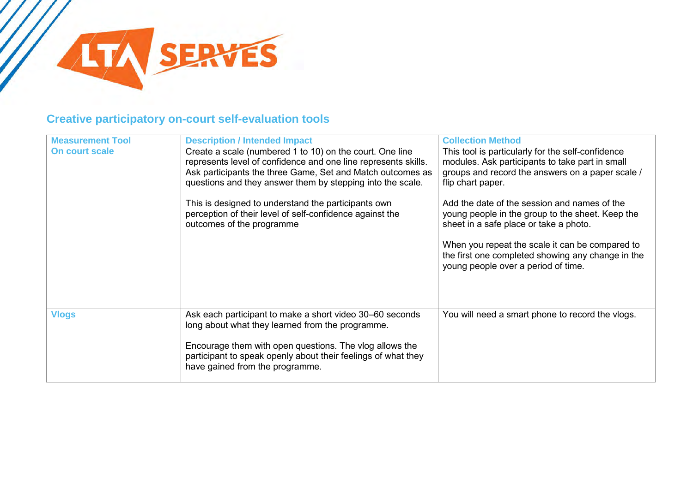

## **Creative participatory on-court self-evaluation tools**

| <b>Measurement Tool</b> | <b>Description / Intended Impact</b>                                                                                                                                                                                                                   | <b>Collection Method</b>                                                                                                                                                      |
|-------------------------|--------------------------------------------------------------------------------------------------------------------------------------------------------------------------------------------------------------------------------------------------------|-------------------------------------------------------------------------------------------------------------------------------------------------------------------------------|
| On court scale          | Create a scale (numbered 1 to 10) on the court. One line<br>represents level of confidence and one line represents skills.<br>Ask participants the three Game, Set and Match outcomes as<br>questions and they answer them by stepping into the scale. | This tool is particularly for the self-confidence<br>modules. Ask participants to take part in small<br>groups and record the answers on a paper scale /<br>flip chart paper. |
|                         | This is designed to understand the participants own<br>perception of their level of self-confidence against the<br>outcomes of the programme                                                                                                           | Add the date of the session and names of the<br>young people in the group to the sheet. Keep the<br>sheet in a safe place or take a photo.                                    |
|                         |                                                                                                                                                                                                                                                        | When you repeat the scale it can be compared to<br>the first one completed showing any change in the<br>young people over a period of time.                                   |
| <b>Vlogs</b>            | Ask each participant to make a short video 30–60 seconds<br>long about what they learned from the programme.                                                                                                                                           | You will need a smart phone to record the vlogs.                                                                                                                              |
|                         | Encourage them with open questions. The vlog allows the<br>participant to speak openly about their feelings of what they<br>have gained from the programme.                                                                                            |                                                                                                                                                                               |